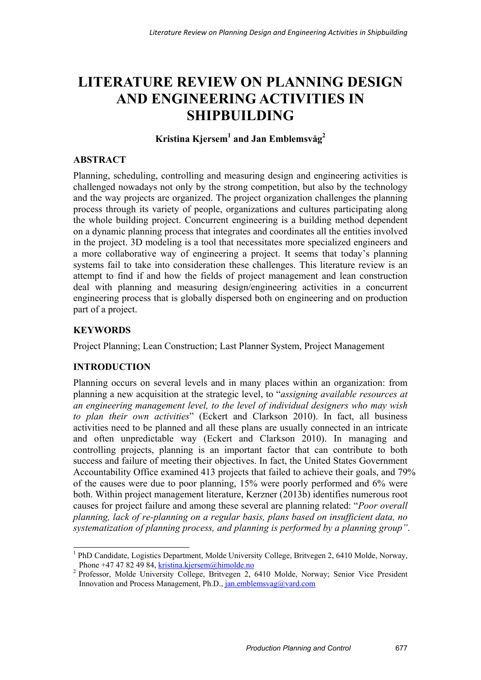# **LITERATURE REVIEW ON PLANNING DESIGN AND ENGINEERING ACTIVITIES IN SHIPBUILDING**

# **Kristina Kjersem1 and Jan Emblemsvåg2**

## **ABSTRACT**

Planning, scheduling, controlling and measuring design and engineering activities is challenged nowadays not only by the strong competition, but also by the technology and the way projects are organized. The project organization challenges the planning process through its variety of people, organizations and cultures participating along the whole building project. Concurrent engineering is a building method dependent on a dynamic planning process that integrates and coordinates all the entities involved in the project. 3D modeling is a tool that necessitates more specialized engineers and a more collaborative way of engineering a project. It seems that today's planning systems fail to take into consideration these challenges. This literature review is an attempt to find if and how the fields of project management and lean construction deal with planning and measuring design/engineering activities in a concurrent engineering process that is globally dispersed both on engineering and on production part of a project.

## **KEYWORDS**

Project Planning; Lean Construction; Last Planner System, Project Management

## **INTRODUCTION**

Planning occurs on several levels and in many places within an organization: from planning a new acquisition at the strategic level, to "*assigning available resources at an engineering management level, to the level of individual designers who may wish to plan their own activities*" (Eckert and Clarkson 2010). In fact, all business activities need to be planned and all these plans are usually connected in an intricate and often unpredictable way (Eckert and Clarkson 2010). In managing and controlling projects, planning is an important factor that can contribute to both success and failure of meeting their objectives. In fact, the United States Government Accountability Office examined 413 projects that failed to achieve their goals, and 79% of the causes were due to poor planning, 15% were poorly performed and 6% were both. Within project management literature, Kerzner (2013b) identifies numerous root causes for project failure and among these several are planning related: "*Poor overall planning, lack of re-planning on a regular basis, plans based on insufficient data, no systematization of planning process, and planning is performed by a planning group"*.

<sup>&</sup>lt;sup>1</sup> PhD Candidate, Logistics Department, Molde University College, Britvegen 2, 6410 Molde, Norway, Phone +47 47 82 49 84, kristina.kjersem@himolde.no

<sup>&</sup>lt;sup>2</sup> Professor, Molde University College, Britvegen 2, 6410 Molde, Norway; Senior Vice President Innovation and Process Management, Ph.D., jan.emblemsvag@vard.com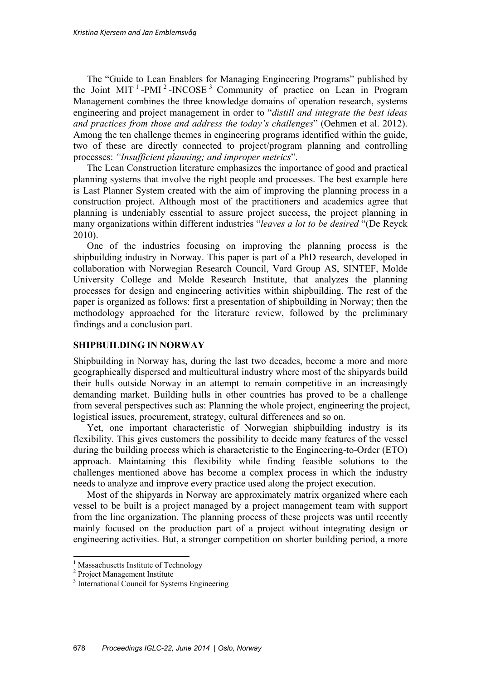The "Guide to Lean Enablers for Managing Engineering Programs" published by the Joint MIT<sup>1</sup>-PMI<sup>2</sup>-INCOSE<sup>3</sup> Community of practice on Lean in Program Management combines the three knowledge domains of operation research, systems engineering and project management in order to "*distill and integrate the best ideas and practices from those and address the today's challenges*" (Oehmen et al. 2012). Among the ten challenge themes in engineering programs identified within the guide, two of these are directly connected to project/program planning and controlling processes: *"Insufficient planning; and improper metrics*".

The Lean Construction literature emphasizes the importance of good and practical planning systems that involve the right people and processes. The best example here is Last Planner System created with the aim of improving the planning process in a construction project. Although most of the practitioners and academics agree that planning is undeniably essential to assure project success, the project planning in many organizations within different industries "*leaves a lot to be desired* "(De Reyck 2010).

One of the industries focusing on improving the planning process is the shipbuilding industry in Norway. This paper is part of a PhD research, developed in collaboration with Norwegian Research Council, Vard Group AS, SINTEF, Molde University College and Molde Research Institute, that analyzes the planning processes for design and engineering activities within shipbuilding. The rest of the paper is organized as follows: first a presentation of shipbuilding in Norway; then the methodology approached for the literature review, followed by the preliminary findings and a conclusion part.

#### **SHIPBUILDING IN NORWAY**

Shipbuilding in Norway has, during the last two decades, become a more and more geographically dispersed and multicultural industry where most of the shipyards build their hulls outside Norway in an attempt to remain competitive in an increasingly demanding market. Building hulls in other countries has proved to be a challenge from several perspectives such as: Planning the whole project, engineering the project, logistical issues, procurement, strategy, cultural differences and so on.

Yet, one important characteristic of Norwegian shipbuilding industry is its flexibility. This gives customers the possibility to decide many features of the vessel during the building process which is characteristic to the Engineering-to-Order (ETO) approach. Maintaining this flexibility while finding feasible solutions to the challenges mentioned above has become a complex process in which the industry needs to analyze and improve every practice used along the project execution.

Most of the shipyards in Norway are approximately matrix organized where each vessel to be built is a project managed by a project management team with support from the line organization. The planning process of these projects was until recently mainly focused on the production part of a project without integrating design or engineering activities. But, a stronger competition on shorter building period, a more

1

<sup>&</sup>lt;sup>1</sup> Massachusetts Institute of Technology

<sup>2</sup> Project Management Institute

<sup>&</sup>lt;sup>3</sup> International Council for Systems Engineering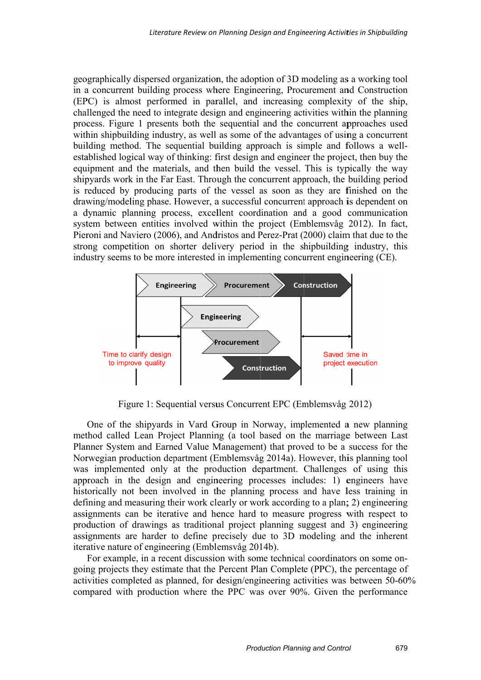geographically dispersed organization, the adoption of 3D modeling as a working tool in a concurrent building process where Engineering, Procurement and Construction (EPC) is almost performed in parallel, and increasing complexity of the ship, challenged the need to integrate design and engineering activities within the planning process. Figure 1 presents both the sequential and the concurrent approaches used within shipbuilding industry, as well as some of the advantages of using a concurrent building method. The sequential building approach is simple and follows a wellestablished logical way of thinking: first design and engineer the project, then buy the equipment and the materials, and then build the vessel. This is typically the way ship architecture in the Far East. Through the concurrent approach, the building period is reduced by producing parts of the vessel as soon as they are finished on the drawing/modeling phase. However, a successful concurrent approach is dependent on a dynamic planning process, excellent coordination and a good communication system between entities involved within the project (Emblemsvåg 2012). In fact, Pieroni and Naviero (2006), and Andristos and Perez-Prat (2000) claim that due to the strong competition on shorter delivery period in the shipbuilding industry, this industry seems to be more interested in implementing concurrent engineering (CE).



Figure 1: Sequential versus Concurrent EPC (Emblemsvåg 2012)

One of the shipyards in Vard Group in Norway, implemented a new planning method called Lean Project Planning (a tool based on the marriage between Last Planner System and Earned Value Management) that proved to be a success for the Norwegian production department (Emblemsvåg 2014a). However, this planning tool was implemented only at the production department. Challenges of using this approach in the design and engineering processes includes: 1) engineers have historically not been involved in the planning process and have less training in defining and measuring their work clearly or work according to a plan; 2) engineering assignments can be iterative and hence hard to measure progress with respect to production of drawings as traditional project planning suggest and 3) engineering assignments are harder to define precisely due to 3D modeling and the inherent iterative nature of engineering (Emblemsvåg 2014b).

For example, in a recent discussion with some technical coordinators on some ongoing projects they estimate that the Percent Plan Complete (PPC), the percentage of activities completed as planned, for design/engineering activities was between 50-60% compared with production where the PPC was over 90%. Given the performance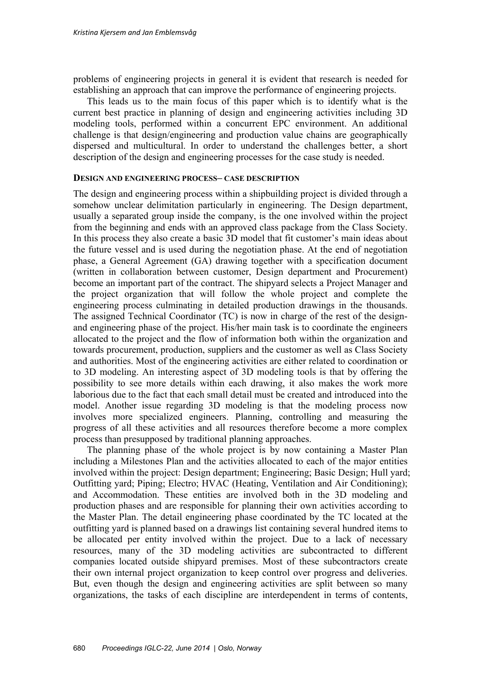problems of engineering projects in general it is evident that research is needed for establishing an approach that can improve the performance of engineering projects.

This leads us to the main focus of this paper which is to identify what is the current best practice in planning of design and engineering activities including 3D modeling tools, performed within a concurrent EPC environment. An additional challenge is that design/engineering and production value chains are geographically dispersed and multicultural. In order to understand the challenges better, a short description of the design and engineering processes for the case study is needed.

#### **DESIGN AND ENGINEERING PROCESS– CASE DESCRIPTION**

The design and engineering process within a shipbuilding project is divided through a somehow unclear delimitation particularly in engineering. The Design department, usually a separated group inside the company, is the one involved within the project from the beginning and ends with an approved class package from the Class Society. In this process they also create a basic 3D model that fit customer's main ideas about the future vessel and is used during the negotiation phase. At the end of negotiation phase, a General Agreement (GA) drawing together with a specification document (written in collaboration between customer, Design department and Procurement) become an important part of the contract. The shipyard selects a Project Manager and the project organization that will follow the whole project and complete the engineering process culminating in detailed production drawings in the thousands. The assigned Technical Coordinator (TC) is now in charge of the rest of the designand engineering phase of the project. His/her main task is to coordinate the engineers allocated to the project and the flow of information both within the organization and towards procurement, production, suppliers and the customer as well as Class Society and authorities. Most of the engineering activities are either related to coordination or to 3D modeling. An interesting aspect of 3D modeling tools is that by offering the possibility to see more details within each drawing, it also makes the work more laborious due to the fact that each small detail must be created and introduced into the model. Another issue regarding 3D modeling is that the modeling process now involves more specialized engineers. Planning, controlling and measuring the progress of all these activities and all resources therefore become a more complex process than presupposed by traditional planning approaches.

The planning phase of the whole project is by now containing a Master Plan including a Milestones Plan and the activities allocated to each of the major entities involved within the project: Design department; Engineering; Basic Design; Hull yard; Outfitting yard; Piping; Electro; HVAC (Heating, Ventilation and Air Conditioning); and Accommodation. These entities are involved both in the 3D modeling and production phases and are responsible for planning their own activities according to the Master Plan. The detail engineering phase coordinated by the TC located at the outfitting yard is planned based on a drawings list containing several hundred items to be allocated per entity involved within the project. Due to a lack of necessary resources, many of the 3D modeling activities are subcontracted to different companies located outside shipyard premises. Most of these subcontractors create their own internal project organization to keep control over progress and deliveries. But, even though the design and engineering activities are split between so many organizations, the tasks of each discipline are interdependent in terms of contents,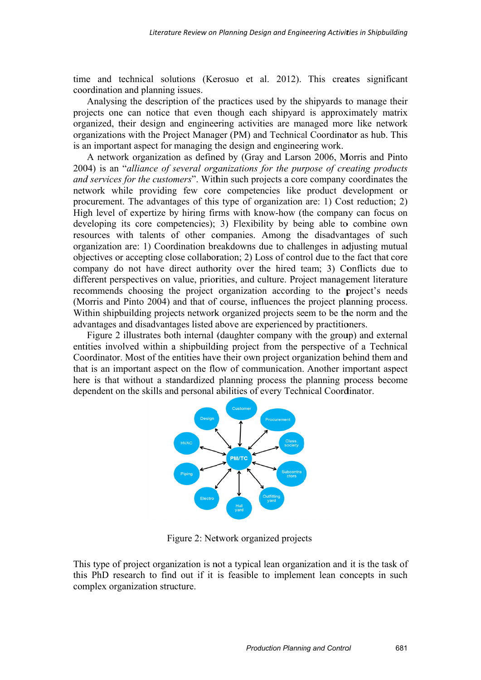time and technical solutions (Kerosuo et al. 2012). This creates significant coordination and planning issues.

Analysing the description of the practices used by the shipyards to manage their projects one can notice that even though each ship a approximately matrix organized, their design and engineering activities are managed more like network organizations with the Project Manager (PM) and Technical Coordinator as hub. This is an important aspect for managing the design and engineering work.

A network organization as defined by (Gray and Larson 2006, Morris and Pinto 2004) is an "alliance of several organizations for the purpose of creating products and services for the customers". Within such projects a core company coordinates the network while providing few core competencies like product development or procurement. The advantages of this type of organization are: 1) Cost reduction; 2) High level of expertize by hiring firms with know-how (the company can focus on developing its core competencies); 3) Flexibility by being able to combine own resources with talents of other companies. Among the disadvantages of such organization are: 1) Coordination breakdowns due to challenges in adjusting mutual objectives or accepting close collaboration; 2) Loss of control due to the fact that core company do not have direct authority over the hired team; 3) Conflicts due to different perspectives on value, priorities, and culture. Project management literature recommends choosing the project organization according to the project's needs (Morris and Pinto 2004) and that of course, influences the project planning process. Within shipbuilding projects network organized projects seem to be the norm and the advantages and disadvantages listed above are experienced by practitioners.

Figure 2 illustrates both internal (daughter company with the group) and external entities involved within a shipbuilding project from the perspective of a Technical Coordinator. Most of the entities have their own project organization behind them and that is an important aspect on the flow of communication. Another important aspect here is that without a standardized planning process the planning process become dependent on the skills and personal abilities of every Technical Coordinator.



Figure 2: Network organized projects

This type of project organization is not a typical lean organization and it is the task of this PhD research to find out if it is feasible to implement lean concepts in such complex organization structure.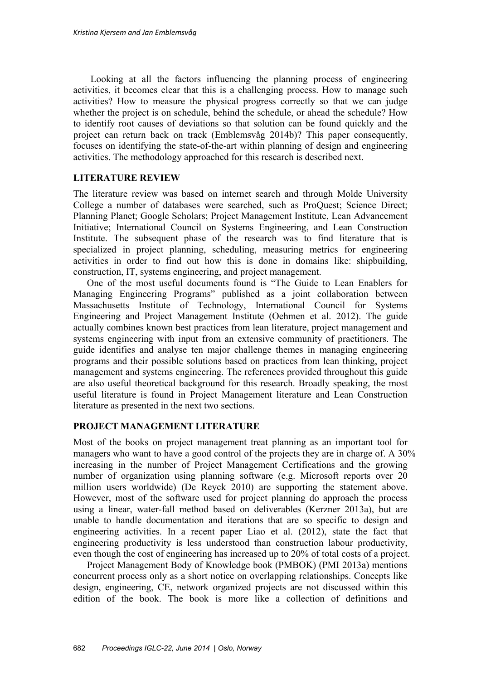Looking at all the factors influencing the planning process of engineering activities, it becomes clear that this is a challenging process. How to manage such activities? How to measure the physical progress correctly so that we can judge whether the project is on schedule, behind the schedule, or ahead the schedule? How to identify root causes of deviations so that solution can be found quickly and the project can return back on track (Emblemsvåg 2014b)? This paper consequently, focuses on identifying the state-of-the-art within planning of design and engineering activities. The methodology approached for this research is described next.

## **LITERATURE REVIEW**

The literature review was based on internet search and through Molde University College a number of databases were searched, such as ProQuest; Science Direct; Planning Planet; Google Scholars; Project Management Institute, Lean Advancement Initiative; International Council on Systems Engineering, and Lean Construction Institute. The subsequent phase of the research was to find literature that is specialized in project planning, scheduling, measuring metrics for engineering activities in order to find out how this is done in domains like: shipbuilding, construction, IT, systems engineering, and project management.

One of the most useful documents found is "The Guide to Lean Enablers for Managing Engineering Programs" published as a joint collaboration between Massachusetts Institute of Technology, International Council for Systems Engineering and Project Management Institute (Oehmen et al. 2012). The guide actually combines known best practices from lean literature, project management and systems engineering with input from an extensive community of practitioners. The guide identifies and analyse ten major challenge themes in managing engineering programs and their possible solutions based on practices from lean thinking, project management and systems engineering. The references provided throughout this guide are also useful theoretical background for this research. Broadly speaking, the most useful literature is found in Project Management literature and Lean Construction literature as presented in the next two sections.

## **PROJECT MANAGEMENT LITERATURE**

Most of the books on project management treat planning as an important tool for managers who want to have a good control of the projects they are in charge of. A 30% increasing in the number of Project Management Certifications and the growing number of organization using planning software (e.g. Microsoft reports over 20 million users worldwide) (De Reyck 2010) are supporting the statement above. However, most of the software used for project planning do approach the process using a linear, water-fall method based on deliverables (Kerzner 2013a), but are unable to handle documentation and iterations that are so specific to design and engineering activities. In a recent paper Liao et al. (2012), state the fact that engineering productivity is less understood than construction labour productivity, even though the cost of engineering has increased up to 20% of total costs of a project.

Project Management Body of Knowledge book (PMBOK) (PMI 2013a) mentions concurrent process only as a short notice on overlapping relationships. Concepts like design, engineering, CE, network organized projects are not discussed within this edition of the book. The book is more like a collection of definitions and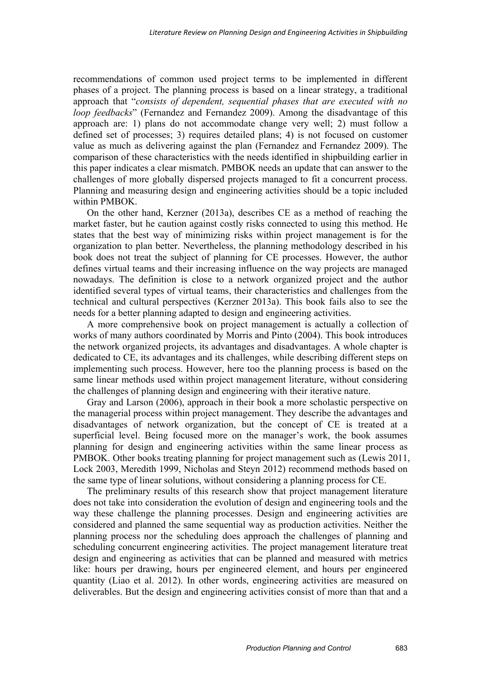recommendations of common used project terms to be implemented in different phases of a project. The planning process is based on a linear strategy, a traditional approach that "*consists of dependent, sequential phases that are executed with no loop feedbacks*" (Fernandez and Fernandez 2009). Among the disadvantage of this approach are: 1) plans do not accommodate change very well; 2) must follow a defined set of processes; 3) requires detailed plans; 4) is not focused on customer value as much as delivering against the plan (Fernandez and Fernandez 2009). The comparison of these characteristics with the needs identified in shipbuilding earlier in this paper indicates a clear mismatch. PMBOK needs an update that can answer to the challenges of more globally dispersed projects managed to fit a concurrent process. Planning and measuring design and engineering activities should be a topic included within PMBOK.

On the other hand, Kerzner (2013a), describes CE as a method of reaching the market faster, but he caution against costly risks connected to using this method. He states that the best way of minimizing risks within project management is for the organization to plan better. Nevertheless, the planning methodology described in his book does not treat the subject of planning for CE processes. However, the author defines virtual teams and their increasing influence on the way projects are managed nowadays. The definition is close to a network organized project and the author identified several types of virtual teams, their characteristics and challenges from the technical and cultural perspectives (Kerzner 2013a). This book fails also to see the needs for a better planning adapted to design and engineering activities.

A more comprehensive book on project management is actually a collection of works of many authors coordinated by Morris and Pinto (2004). This book introduces the network organized projects, its advantages and disadvantages. A whole chapter is dedicated to CE, its advantages and its challenges, while describing different steps on implementing such process. However, here too the planning process is based on the same linear methods used within project management literature, without considering the challenges of planning design and engineering with their iterative nature.

Gray and Larson (2006), approach in their book a more scholastic perspective on the managerial process within project management. They describe the advantages and disadvantages of network organization, but the concept of CE is treated at a superficial level. Being focused more on the manager's work, the book assumes planning for design and engineering activities within the same linear process as PMBOK. Other books treating planning for project management such as (Lewis 2011, Lock 2003, Meredith 1999, Nicholas and Steyn 2012) recommend methods based on the same type of linear solutions, without considering a planning process for CE.

The preliminary results of this research show that project management literature does not take into consideration the evolution of design and engineering tools and the way these challenge the planning processes. Design and engineering activities are considered and planned the same sequential way as production activities. Neither the planning process nor the scheduling does approach the challenges of planning and scheduling concurrent engineering activities. The project management literature treat design and engineering as activities that can be planned and measured with metrics like: hours per drawing, hours per engineered element, and hours per engineered quantity (Liao et al. 2012). In other words, engineering activities are measured on deliverables. But the design and engineering activities consist of more than that and a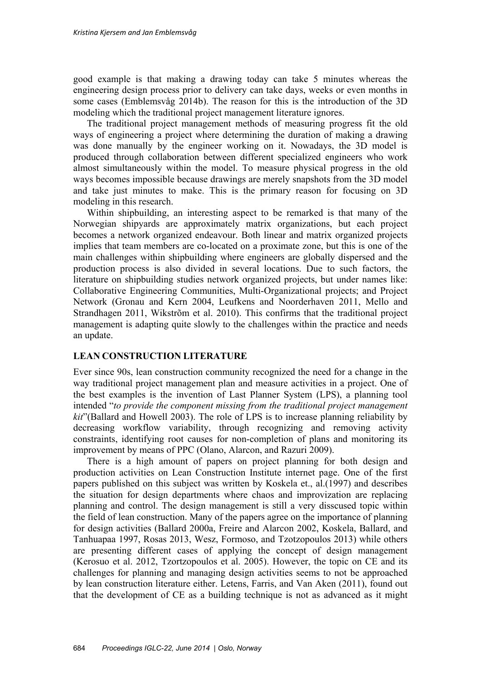good example is that making a drawing today can take 5 minutes whereas the engineering design process prior to delivery can take days, weeks or even months in some cases (Emblemsvåg 2014b). The reason for this is the introduction of the 3D modeling which the traditional project management literature ignores.

The traditional project management methods of measuring progress fit the old ways of engineering a project where determining the duration of making a drawing was done manually by the engineer working on it. Nowadays, the 3D model is produced through collaboration between different specialized engineers who work almost simultaneously within the model. To measure physical progress in the old ways becomes impossible because drawings are merely snapshots from the 3D model and take just minutes to make. This is the primary reason for focusing on 3D modeling in this research.

Within shipbuilding, an interesting aspect to be remarked is that many of the Norwegian shipyards are approximately matrix organizations, but each project becomes a network organized endeavour. Both linear and matrix organized projects implies that team members are co-located on a proximate zone, but this is one of the main challenges within shipbuilding where engineers are globally dispersed and the production process is also divided in several locations. Due to such factors, the literature on shipbuilding studies network organized projects, but under names like: Collaborative Engineering Communities, Multi-Organizational projects; and Project Network (Gronau and Kern 2004, Leufkens and Noorderhaven 2011, Mello and Strandhagen 2011, Wikstrõm et al. 2010). This confirms that the traditional project management is adapting quite slowly to the challenges within the practice and needs an update.

#### **LEAN CONSTRUCTION LITERATURE**

Ever since 90s, lean construction community recognized the need for a change in the way traditional project management plan and measure activities in a project. One of the best examples is the invention of Last Planner System (LPS), a planning tool intended "*to provide the component missing from the traditional project management kit*"(Ballard and Howell 2003). The role of LPS is to increase planning reliability by decreasing workflow variability, through recognizing and removing activity constraints, identifying root causes for non-completion of plans and monitoring its improvement by means of PPC (Olano, Alarcon, and Razuri 2009).

There is a high amount of papers on project planning for both design and production activities on Lean Construction Institute internet page. One of the first papers published on this subject was written by Koskela et., al.(1997) and describes the situation for design departments where chaos and improvization are replacing planning and control. The design management is still a very disscused topic within the field of lean construction. Many of the papers agree on the importance of planning for design activities (Ballard 2000a, Freire and Alarcon 2002, Koskela, Ballard, and Tanhuapaa 1997, Rosas 2013, Wesz, Formoso, and Tzotzopoulos 2013) while others are presenting different cases of applying the concept of design management (Kerosuo et al. 2012, Tzortzopoulos et al. 2005). However, the topic on CE and its challenges for planning and managing design activities seems to not be approached by lean construction literature either. Letens, Farris, and Van Aken (2011), found out that the development of CE as a building technique is not as advanced as it might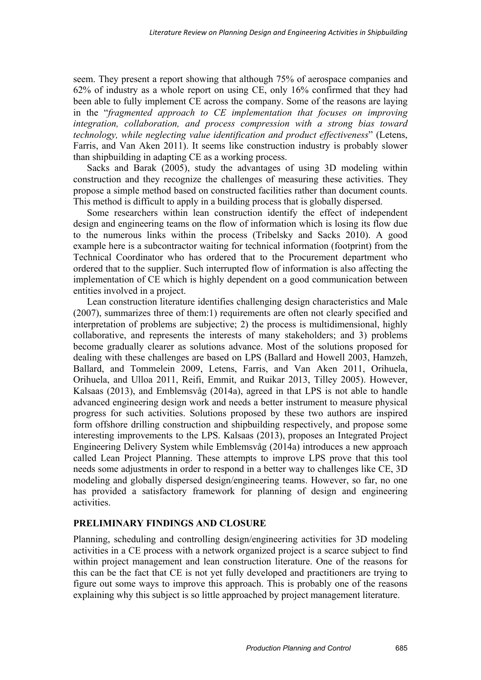seem. They present a report showing that although 75% of aerospace companies and 62% of industry as a whole report on using CE, only 16% confirmed that they had been able to fully implement CE across the company. Some of the reasons are laying in the "*fragmented approach to CE implementation that focuses on improving integration, collaboration, and process compression with a strong bias toward technology, while neglecting value identification and product effectiveness*" (Letens, Farris, and Van Aken 2011). It seems like construction industry is probably slower than shipbuilding in adapting CE as a working process.

Sacks and Barak (2005), study the advantages of using 3D modeling within construction and they recognize the challenges of measuring these activities. They propose a simple method based on constructed facilities rather than document counts. This method is difficult to apply in a building process that is globally dispersed.

Some researchers within lean construction identify the effect of independent design and engineering teams on the flow of information which is losing its flow due to the numerous links within the process (Tribelsky and Sacks 2010). A good example here is a subcontractor waiting for technical information (footprint) from the Technical Coordinator who has ordered that to the Procurement department who ordered that to the supplier. Such interrupted flow of information is also affecting the implementation of CE which is highly dependent on a good communication between entities involved in a project.

Lean construction literature identifies challenging design characteristics and Male (2007), summarizes three of them:1) requirements are often not clearly specified and interpretation of problems are subjective; 2) the process is multidimensional, highly collaborative, and represents the interests of many stakeholders; and 3) problems become gradually clearer as solutions advance. Most of the solutions proposed for dealing with these challenges are based on LPS (Ballard and Howell 2003, Hamzeh, Ballard, and Tommelein 2009, Letens, Farris, and Van Aken 2011, Orihuela, Orihuela, and Ulloa 2011, Reifi, Emmit, and Ruikar 2013, Tilley 2005). However, Kalsaas (2013), and Emblemsvåg (2014a), agreed in that LPS is not able to handle advanced engineering design work and needs a better instrument to measure physical progress for such activities. Solutions proposed by these two authors are inspired form offshore drilling construction and shipbuilding respectively, and propose some interesting improvements to the LPS. Kalsaas (2013), proposes an Integrated Project Engineering Delivery System while Emblemsvåg (2014a) introduces a new approach called Lean Project Planning. These attempts to improve LPS prove that this tool needs some adjustments in order to respond in a better way to challenges like CE, 3D modeling and globally dispersed design/engineering teams. However, so far, no one has provided a satisfactory framework for planning of design and engineering activities.

### **PRELIMINARY FINDINGS AND CLOSURE**

Planning, scheduling and controlling design/engineering activities for 3D modeling activities in a CE process with a network organized project is a scarce subject to find within project management and lean construction literature. One of the reasons for this can be the fact that CE is not yet fully developed and practitioners are trying to figure out some ways to improve this approach. This is probably one of the reasons explaining why this subject is so little approached by project management literature.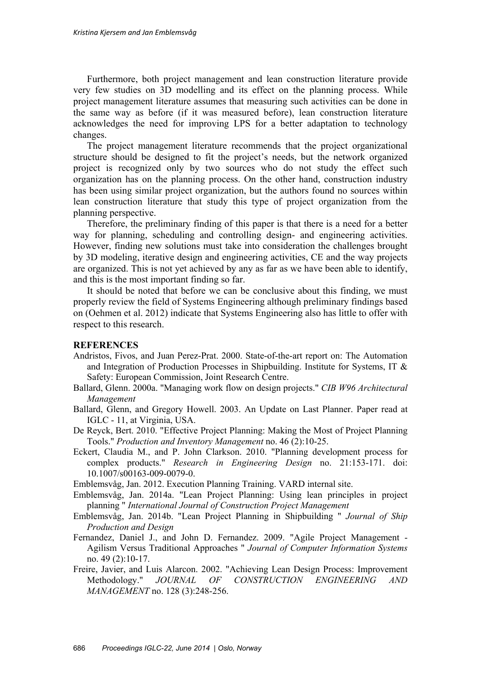Furthermore, both project management and lean construction literature provide very few studies on 3D modelling and its effect on the planning process. While project management literature assumes that measuring such activities can be done in the same way as before (if it was measured before), lean construction literature acknowledges the need for improving LPS for a better adaptation to technology changes.

The project management literature recommends that the project organizational structure should be designed to fit the project's needs, but the network organized project is recognized only by two sources who do not study the effect such organization has on the planning process. On the other hand, construction industry has been using similar project organization, but the authors found no sources within lean construction literature that study this type of project organization from the planning perspective.

Therefore, the preliminary finding of this paper is that there is a need for a better way for planning, scheduling and controlling design- and engineering activities. However, finding new solutions must take into consideration the challenges brought by 3D modeling, iterative design and engineering activities, CE and the way projects are organized. This is not yet achieved by any as far as we have been able to identify, and this is the most important finding so far.

It should be noted that before we can be conclusive about this finding, we must properly review the field of Systems Engineering although preliminary findings based on (Oehmen et al. 2012) indicate that Systems Engineering also has little to offer with respect to this research.

#### **REFERENCES**

- Andristos, Fivos, and Juan Perez-Prat. 2000. State-of-the-art report on: The Automation and Integration of Production Processes in Shipbuilding. Institute for Systems, IT & Safety: European Commission, Joint Research Centre.
- Ballard, Glenn. 2000a. "Managing work flow on design projects." *CIB W96 Architectural Management*
- Ballard, Glenn, and Gregory Howell. 2003. An Update on Last Planner. Paper read at IGLC - 11, at Virginia, USA.

De Reyck, Bert. 2010. "Effective Project Planning: Making the Most of Project Planning Tools." *Production and Inventory Management* no. 46 (2):10-25.

Eckert, Claudia M., and P. John Clarkson. 2010. "Planning development process for complex products." *Research in Engineering Design* no. 21:153-171. doi: 10.1007/s00163-009-0079-0.

Emblemsvåg, Jan. 2012. Execution Planning Training. VARD internal site.

- Emblemsvåg, Jan. 2014a. "Lean Project Planning: Using lean principles in project planning " *International Journal of Construction Project Management*
- Emblemsvåg, Jan. 2014b. "Lean Project Planning in Shipbuilding " *Journal of Ship Production and Design*
- Fernandez, Daniel J., and John D. Fernandez. 2009. "Agile Project Management Agilism Versus Traditional Approaches " *Journal of Computer Information Systems* no. 49 (2):10-17.
- Freire, Javier, and Luis Alarcon. 2002. "Achieving Lean Design Process: Improvement Methodology." *JOURNAL OF CONSTRUCTION ENGINEERING AND MANAGEMENT* no. 128 (3):248-256.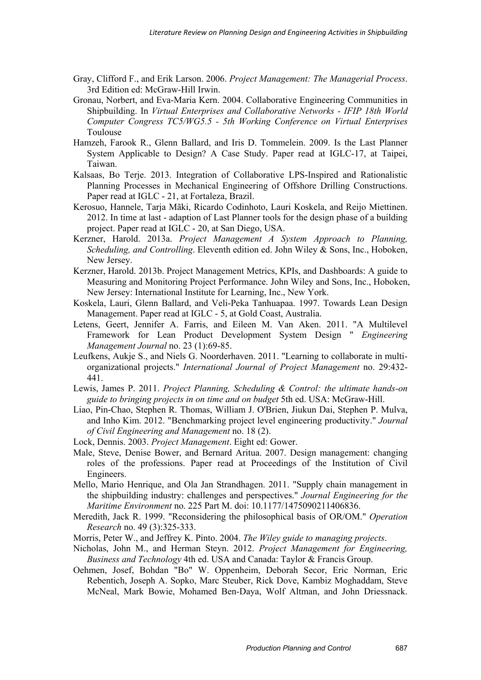- Gray, Clifford F., and Erik Larson. 2006. *Project Management: The Managerial Process*. 3rd Edition ed: McGraw-Hill Irwin.
- Gronau, Norbert, and Eva-Maria Kern. 2004. Collaborative Engineering Communities in Shipbuilding. In *Virtual Enterprises and Collaborative Networks - IFIP 18th World Computer Congress TC5/WG5.5 - 5th Working Conference on Virtual Enterprises*  Toulouse
- Hamzeh, Farook R., Glenn Ballard, and Iris D. Tommelein. 2009. Is the Last Planner System Applicable to Design? A Case Study. Paper read at IGLC-17, at Taipei, Taiwan.
- Kalsaas, Bo Terje. 2013. Integration of Collaborative LPS-Inspired and Rationalistic Planning Processes in Mechanical Engineering of Offshore Drilling Constructions. Paper read at IGLC - 21, at Fortaleza, Brazil.
- Kerosuo, Hannele, Tarja Mãki, Ricardo Codinhoto, Lauri Koskela, and Reijo Miettinen. 2012. In time at last - adaption of Last Planner tools for the design phase of a building project. Paper read at IGLC - 20, at San Diego, USA.
- Kerzner, Harold. 2013a. *Project Management A System Approach to Planning, Scheduling, and Controlling*. Eleventh edition ed. John Wiley & Sons, Inc., Hoboken, New Jersey.
- Kerzner, Harold. 2013b. Project Management Metrics, KPIs, and Dashboards: A guide to Measuring and Monitoring Project Performance. John Wiley and Sons, Inc., Hoboken, New Jersey: International Institute for Learning, Inc., New York.
- Koskela, Lauri, Glenn Ballard, and Veli-Peka Tanhuapaa. 1997. Towards Lean Design Management. Paper read at IGLC - 5, at Gold Coast, Australia.
- Letens, Geert, Jennifer A. Farris, and Eileen M. Van Aken. 2011. "A Multilevel Framework for Lean Product Development System Design " *Engineering Management Journal* no. 23 (1):69-85.
- Leufkens, Aukje S., and Niels G. Noorderhaven. 2011. "Learning to collaborate in multiorganizational projects." *International Journal of Project Management* no. 29:432- 441.
- Lewis, James P. 2011. *Project Planning, Scheduling & Control: the ultimate hands-on guide to bringing projects in on time and on budget* 5th ed. USA: McGraw-Hill.
- Liao, Pin-Chao, Stephen R. Thomas, William J. O'Brien, Jiukun Dai, Stephen P. Mulva, and Inho Kim. 2012. "Benchmarking project level engineering productivity." *Journal of Civil Engineering and Management* no. 18 (2).
- Lock, Dennis. 2003. *Project Management*. Eight ed: Gower.
- Male, Steve, Denise Bower, and Bernard Aritua. 2007. Design management: changing roles of the professions. Paper read at Proceedings of the Institution of Civil Engineers.
- Mello, Mario Henrique, and Ola Jan Strandhagen. 2011. "Supply chain management in the shipbuilding industry: challenges and perspectives." *Journal Engineering for the Maritime Environment* no. 225 Part M. doi: 10.1177/1475090211406836.
- Meredith, Jack R. 1999. "Reconsidering the philosophical basis of OR/OM." *Operation Research* no. 49 (3):325-333.
- Morris, Peter W., and Jeffrey K. Pinto. 2004. *The Wiley guide to managing projects*.
- Nicholas, John M., and Herman Steyn. 2012. *Project Management for Engineering, Business and Technology* 4th ed. USA and Canada: Taylor & Francis Group.
- Oehmen, Josef, Bohdan "Bo" W. Oppenheim, Deborah Secor, Eric Norman, Eric Rebentich, Joseph A. Sopko, Marc Steuber, Rick Dove, Kambiz Moghaddam, Steve McNeal, Mark Bowie, Mohamed Ben-Daya, Wolf Altman, and John Driessnack.